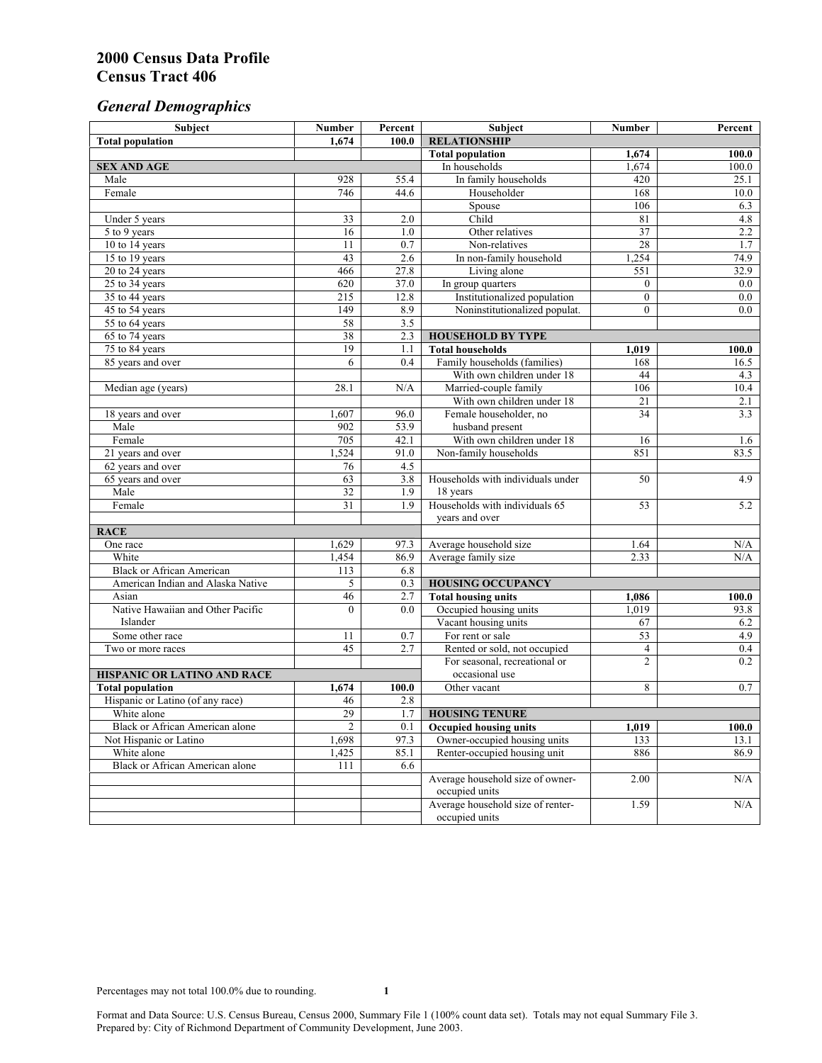# *General Demographics*

| Subject                           | <b>Number</b>   | Percent    | Subject                                                 | <b>Number</b>  | Percent     |
|-----------------------------------|-----------------|------------|---------------------------------------------------------|----------------|-------------|
| <b>Total population</b>           | 1,674           | 100.0      | <b>RELATIONSHIP</b>                                     |                |             |
|                                   |                 |            | <b>Total population</b>                                 | 1,674          | 100.0       |
| <b>SEX AND AGE</b>                |                 |            | In households                                           | 1,674          | 100.0       |
| Male                              | 928             | 55.4       | In family households                                    | 420            | 25.1        |
| Female                            | 746             | 44.6       | Householder                                             | 168            | 10.0        |
|                                   |                 |            | Spouse                                                  | 106            | 6.3         |
| Under 5 years                     | 33              | 2.0        | Child                                                   | 81             | 4.8         |
| 5 to 9 years                      | 16              | 1.0        | Other relatives                                         | 37             | 2.2         |
| 10 to 14 years                    | 11              | 0.7        | Non-relatives                                           | 28             | 1.7         |
| 15 to 19 years                    | 43              | 2.6        | In non-family household                                 | 1,254          | 74.9        |
| 20 to 24 years                    | 466             | 27.8       | Living alone                                            | 551            | 32.9        |
| $25 \text{ to } 34$ years         | 620             | 37.0       | In group quarters                                       | $\overline{0}$ | 0.0         |
| 35 to 44 years                    | 215             | 12.8       | Institutionalized population                            | $\overline{0}$ | 0.0         |
| 45 to 54 years                    | 149             | 8.9        | Noninstitutionalized populat.                           | $\overline{0}$ | 0.0         |
| 55 to 64 years                    | 58              | 3.5        |                                                         |                |             |
| 65 to 74 years                    | 38<br>19        | 2.3        | <b>HOUSEHOLD BY TYPE</b>                                |                |             |
| 75 to 84 years                    | 6               | 1.1<br>0.4 | <b>Total households</b><br>Family households (families) | 1,019<br>168   | 100.0       |
| 85 years and over                 |                 |            | With own children under 18                              | 44             | 16.5        |
|                                   | 28.1            | N/A        | Married-couple family                                   | 106            | 4.3<br>10.4 |
| Median age (years)                |                 |            | With own children under 18                              | 21             | 2.1         |
| 18 years and over                 | 1,607           | 96.0       | Female householder, no                                  | 34             | 3.3         |
| Male                              | 902             | 53.9       | husband present                                         |                |             |
| Female                            | 705             | 42.1       | With own children under 18                              | 16             | 1.6         |
| 21 years and over                 | 1,524           | 91.0       | Non-family households                                   | 851            | 83.5        |
| 62 years and over                 | 76              | 4.5        |                                                         |                |             |
| 65 years and over                 | 63              | 3.8        | Households with individuals under                       | 50             | 4.9         |
| Male                              | 32              | 1.9        | 18 years                                                |                |             |
| Female                            | $\overline{31}$ | 1.9        | Households with individuals 65                          | 53             | 5.2         |
|                                   |                 |            | years and over                                          |                |             |
| <b>RACE</b>                       |                 |            |                                                         |                |             |
| One race                          | 1,629           | 97.3       | Average household size                                  | 1.64           | $\rm N/A$   |
| White                             | 1,454           | 86.9       | Average family size                                     | 2.33           | N/A         |
| <b>Black or African American</b>  | 113             | 6.8        |                                                         |                |             |
| American Indian and Alaska Native | 5               | 0.3        | <b>HOUSING OCCUPANCY</b>                                |                |             |
| Asian                             | 46              | 2.7        | <b>Total housing units</b>                              | 1,086          | 100.0       |
| Native Hawaiian and Other Pacific | $\theta$        | 0.0        | Occupied housing units                                  | 1,019          | 93.8        |
| Islander                          |                 |            | Vacant housing units                                    | 67             | 6.2         |
| Some other race                   | 11              | 0.7        | For rent or sale                                        | 53             | 4.9         |
| Two or more races                 | 45              | 2.7        | Rented or sold, not occupied                            | $\overline{4}$ | 0.4         |
|                                   |                 |            | For seasonal, recreational or                           | $\overline{2}$ | 0.2         |
| HISPANIC OR LATINO AND RACE       |                 |            | occasional use                                          |                |             |
| <b>Total population</b>           | 1,674           | 100.0      | Other vacant                                            | 8              | 0.7         |
| Hispanic or Latino (of any race)  | 46              | 2.8        |                                                         |                |             |
| White alone                       | 29              | 1.7        | <b>HOUSING TENURE</b>                                   |                |             |
| Black or African American alone   | $\overline{2}$  | 0.1        | <b>Occupied housing units</b>                           | 1,019          | 100.0       |
| Not Hispanic or Latino            | 1,698           | 97.3       | Owner-occupied housing units                            | 133            | 13.1        |
| White alone                       | 1,425           | 85.1       | Renter-occupied housing unit                            | 886            | 86.9        |
| Black or African American alone   | 111             | 6.6        |                                                         |                |             |
|                                   |                 |            | Average household size of owner-                        | 2.00           | N/A         |
|                                   |                 |            | occupied units                                          |                |             |
|                                   |                 |            | Average household size of renter-                       | 1.59           | N/A         |
|                                   |                 |            | occupied units                                          |                |             |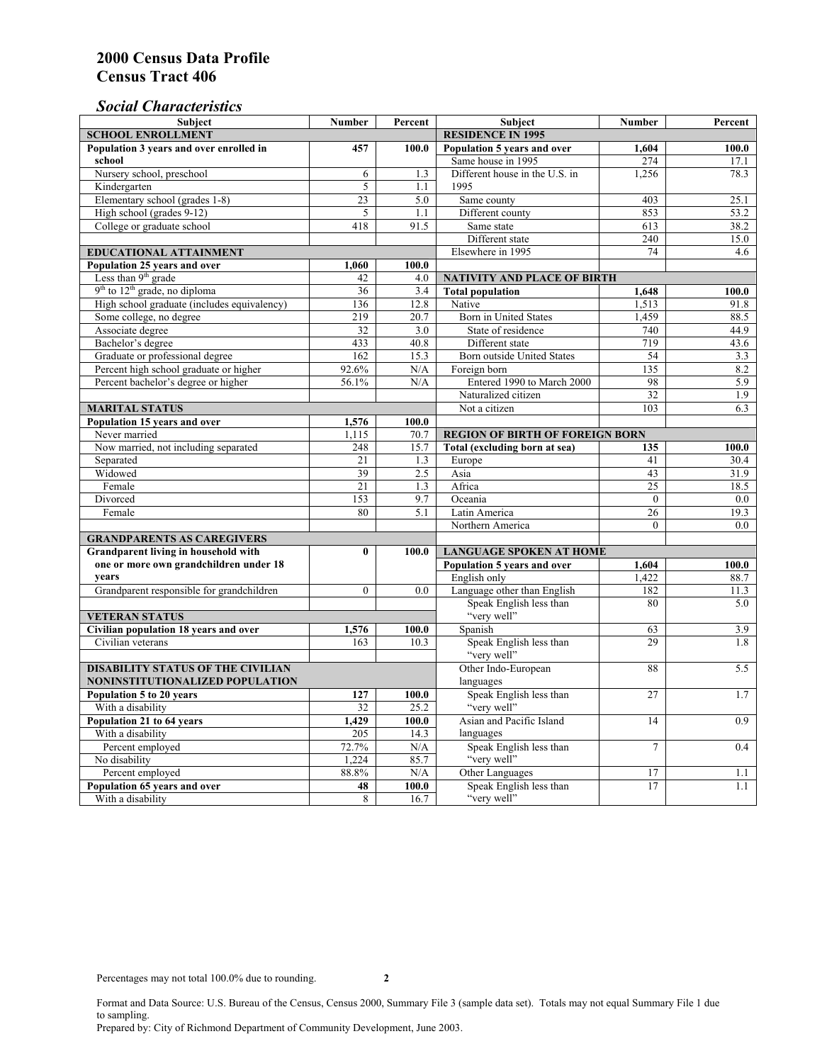### *Social Characteristics*

| <b>SCHOOL ENROLLMENT</b><br><b>RESIDENCE IN 1995</b><br>Population 3 years and over enrolled in<br>Population 5 years and over<br>100.0<br>457<br>100.0<br>1,604<br>Same house in 1995<br>school<br>274<br>17.1<br>Nursery school, preschool<br>Different house in the U.S. in<br>1,256<br>6<br>1.3<br>78.3<br>1995<br>Kindergarten<br>5<br>1.1<br>Elementary school (grades 1-8)<br>23<br>5.0<br>Same county<br>403<br>25.1<br>853<br>High school (grades 9-12)<br>5<br>1.1<br>Different county<br>53.2<br>College or graduate school<br>418<br>91.5<br>Same state<br>613<br>38.2<br>Different state<br>240<br>15.0<br>Elsewhere in 1995<br>74<br><b>EDUCATIONAL ATTAINMENT</b><br>4.6<br>Population 25 years and over<br>1,060<br>100.0<br>Less than 9 <sup>th</sup> grade<br>42<br>4.0<br>NATIVITY AND PLACE OF BIRTH<br>$9th$ to $12th$ grade, no diploma<br>$\overline{36}$<br><b>Total population</b><br>3.4<br>1,648<br>100.0<br>High school graduate (includes equivalency)<br>136<br>Native<br>12.8<br>1.513<br>91.8<br>Some college, no degree<br><b>Born</b> in United States<br>219<br>20.7<br>1,459<br>88.5<br>Associate degree<br>32<br>3.0<br>State of residence<br>740<br>44.9<br>Bachelor's degree<br>719<br>433<br>40.8<br>Different state<br>43.6<br>Graduate or professional degree<br>15.3<br>162<br>54<br>Born outside United States<br>3.3<br>Percent high school graduate or higher<br>92.6%<br>N/A<br>Foreign born<br>135<br>8.2<br>Percent bachelor's degree or higher<br>Entered 1990 to March 2000<br>56.1%<br>98<br>5.9<br>N/A<br>32<br>Naturalized citizen<br>1.9<br>103<br>6.3<br><b>MARITAL STATUS</b><br>Not a citizen<br>Population 15 years and over<br>1,576<br>100.0<br>Never married<br>1,115<br>70.7<br><b>REGION OF BIRTH OF FOREIGN BORN</b><br>Now married, not including separated<br>Total (excluding born at sea)<br>248<br>15.7<br>100.0<br>135<br>Separated<br>21<br>1.3<br>Europe<br>41<br>30.4<br>Widowed<br>39<br>2.5<br>Asia<br>43<br>31.9<br>Female<br>21<br>1.3<br>Africa<br>25<br>18.5<br>153<br>9.7<br>Divorced<br>Oceania<br>$\Omega$<br>0.0<br>Female<br>80<br>5.1<br>Latin America<br>26<br>19.3<br>Northern America<br>$\theta$<br>0.0<br><b>GRANDPARENTS AS CAREGIVERS</b><br>Grandparent living in household with<br><b>LANGUAGE SPOKEN AT HOME</b><br>$\bf{0}$<br>100.0<br>one or more own grandchildren under 18<br>Population 5 years and over<br>100.0<br>1,604<br>years<br>English only<br>1,422<br>88.7<br>$\theta$<br>Language other than English<br>182<br>Grandparent responsible for grandchildren<br>0.0<br>11.3<br>Speak English less than<br>80<br>5.0<br>"very well"<br><b>VETERAN STATUS</b><br>Spanish<br>Civilian population 18 years and over<br>63<br>3.9<br>1,576<br>100.0<br>Speak English less than<br>29<br>Civilian veterans<br>163<br>10.3<br>1.8<br>"very well"<br>Other Indo-European<br><b>DISABILITY STATUS OF THE CIVILIAN</b><br>88<br>5.5<br>NONINSTITUTIONALIZED POPULATION<br>languages<br>Speak English less than<br>Population 5 to 20 years<br>127<br>27<br>100.0<br>1.7<br>"very well"<br>With a disability<br>32<br>25.2<br>Population 21 to 64 years<br>Asian and Pacific Island<br>0.9<br>1,429<br>100.0<br>14<br>With a disability<br>205<br>14.3<br>languages<br>72.7%<br>Speak English less than<br>Percent employed<br>N/A<br>$\overline{7}$<br>0.4<br>"very well"<br>No disability<br>1,224<br>85.7<br>Other Languages<br>Percent employed<br>88.8%<br>N/A<br>17<br>1.1<br>Speak English less than<br>Population 65 years and over<br>100.0<br>17<br>48<br>1.1 | <b>Subject</b>    | <b>Number</b> | Percent | <b>Subject</b> | <b>Number</b> | Percent |
|---------------------------------------------------------------------------------------------------------------------------------------------------------------------------------------------------------------------------------------------------------------------------------------------------------------------------------------------------------------------------------------------------------------------------------------------------------------------------------------------------------------------------------------------------------------------------------------------------------------------------------------------------------------------------------------------------------------------------------------------------------------------------------------------------------------------------------------------------------------------------------------------------------------------------------------------------------------------------------------------------------------------------------------------------------------------------------------------------------------------------------------------------------------------------------------------------------------------------------------------------------------------------------------------------------------------------------------------------------------------------------------------------------------------------------------------------------------------------------------------------------------------------------------------------------------------------------------------------------------------------------------------------------------------------------------------------------------------------------------------------------------------------------------------------------------------------------------------------------------------------------------------------------------------------------------------------------------------------------------------------------------------------------------------------------------------------------------------------------------------------------------------------------------------------------------------------------------------------------------------------------------------------------------------------------------------------------------------------------------------------------------------------------------------------------------------------------------------------------------------------------------------------------------------------------------------------------------------------------------------------------------------------------------------------------------------------------------------------------------------------------------------------------------------------------------------------------------------------------------------------------------------------------------------------------------------------------------------------------------------------------------------------------------------------------------------------------------------------------------------------------------------------------------------------------------------------------------------------------------------------------------------------------------------------------------------------------------------------------------------------------------------------------------------------------------------------------------------------------------------------------------------------------------------------------------------------|-------------------|---------------|---------|----------------|---------------|---------|
|                                                                                                                                                                                                                                                                                                                                                                                                                                                                                                                                                                                                                                                                                                                                                                                                                                                                                                                                                                                                                                                                                                                                                                                                                                                                                                                                                                                                                                                                                                                                                                                                                                                                                                                                                                                                                                                                                                                                                                                                                                                                                                                                                                                                                                                                                                                                                                                                                                                                                                                                                                                                                                                                                                                                                                                                                                                                                                                                                                                                                                                                                                                                                                                                                                                                                                                                                                                                                                                                                                                                                                           |                   |               |         |                |               |         |
|                                                                                                                                                                                                                                                                                                                                                                                                                                                                                                                                                                                                                                                                                                                                                                                                                                                                                                                                                                                                                                                                                                                                                                                                                                                                                                                                                                                                                                                                                                                                                                                                                                                                                                                                                                                                                                                                                                                                                                                                                                                                                                                                                                                                                                                                                                                                                                                                                                                                                                                                                                                                                                                                                                                                                                                                                                                                                                                                                                                                                                                                                                                                                                                                                                                                                                                                                                                                                                                                                                                                                                           |                   |               |         |                |               |         |
|                                                                                                                                                                                                                                                                                                                                                                                                                                                                                                                                                                                                                                                                                                                                                                                                                                                                                                                                                                                                                                                                                                                                                                                                                                                                                                                                                                                                                                                                                                                                                                                                                                                                                                                                                                                                                                                                                                                                                                                                                                                                                                                                                                                                                                                                                                                                                                                                                                                                                                                                                                                                                                                                                                                                                                                                                                                                                                                                                                                                                                                                                                                                                                                                                                                                                                                                                                                                                                                                                                                                                                           |                   |               |         |                |               |         |
|                                                                                                                                                                                                                                                                                                                                                                                                                                                                                                                                                                                                                                                                                                                                                                                                                                                                                                                                                                                                                                                                                                                                                                                                                                                                                                                                                                                                                                                                                                                                                                                                                                                                                                                                                                                                                                                                                                                                                                                                                                                                                                                                                                                                                                                                                                                                                                                                                                                                                                                                                                                                                                                                                                                                                                                                                                                                                                                                                                                                                                                                                                                                                                                                                                                                                                                                                                                                                                                                                                                                                                           |                   |               |         |                |               |         |
|                                                                                                                                                                                                                                                                                                                                                                                                                                                                                                                                                                                                                                                                                                                                                                                                                                                                                                                                                                                                                                                                                                                                                                                                                                                                                                                                                                                                                                                                                                                                                                                                                                                                                                                                                                                                                                                                                                                                                                                                                                                                                                                                                                                                                                                                                                                                                                                                                                                                                                                                                                                                                                                                                                                                                                                                                                                                                                                                                                                                                                                                                                                                                                                                                                                                                                                                                                                                                                                                                                                                                                           |                   |               |         |                |               |         |
|                                                                                                                                                                                                                                                                                                                                                                                                                                                                                                                                                                                                                                                                                                                                                                                                                                                                                                                                                                                                                                                                                                                                                                                                                                                                                                                                                                                                                                                                                                                                                                                                                                                                                                                                                                                                                                                                                                                                                                                                                                                                                                                                                                                                                                                                                                                                                                                                                                                                                                                                                                                                                                                                                                                                                                                                                                                                                                                                                                                                                                                                                                                                                                                                                                                                                                                                                                                                                                                                                                                                                                           |                   |               |         |                |               |         |
|                                                                                                                                                                                                                                                                                                                                                                                                                                                                                                                                                                                                                                                                                                                                                                                                                                                                                                                                                                                                                                                                                                                                                                                                                                                                                                                                                                                                                                                                                                                                                                                                                                                                                                                                                                                                                                                                                                                                                                                                                                                                                                                                                                                                                                                                                                                                                                                                                                                                                                                                                                                                                                                                                                                                                                                                                                                                                                                                                                                                                                                                                                                                                                                                                                                                                                                                                                                                                                                                                                                                                                           |                   |               |         |                |               |         |
|                                                                                                                                                                                                                                                                                                                                                                                                                                                                                                                                                                                                                                                                                                                                                                                                                                                                                                                                                                                                                                                                                                                                                                                                                                                                                                                                                                                                                                                                                                                                                                                                                                                                                                                                                                                                                                                                                                                                                                                                                                                                                                                                                                                                                                                                                                                                                                                                                                                                                                                                                                                                                                                                                                                                                                                                                                                                                                                                                                                                                                                                                                                                                                                                                                                                                                                                                                                                                                                                                                                                                                           |                   |               |         |                |               |         |
|                                                                                                                                                                                                                                                                                                                                                                                                                                                                                                                                                                                                                                                                                                                                                                                                                                                                                                                                                                                                                                                                                                                                                                                                                                                                                                                                                                                                                                                                                                                                                                                                                                                                                                                                                                                                                                                                                                                                                                                                                                                                                                                                                                                                                                                                                                                                                                                                                                                                                                                                                                                                                                                                                                                                                                                                                                                                                                                                                                                                                                                                                                                                                                                                                                                                                                                                                                                                                                                                                                                                                                           |                   |               |         |                |               |         |
|                                                                                                                                                                                                                                                                                                                                                                                                                                                                                                                                                                                                                                                                                                                                                                                                                                                                                                                                                                                                                                                                                                                                                                                                                                                                                                                                                                                                                                                                                                                                                                                                                                                                                                                                                                                                                                                                                                                                                                                                                                                                                                                                                                                                                                                                                                                                                                                                                                                                                                                                                                                                                                                                                                                                                                                                                                                                                                                                                                                                                                                                                                                                                                                                                                                                                                                                                                                                                                                                                                                                                                           |                   |               |         |                |               |         |
|                                                                                                                                                                                                                                                                                                                                                                                                                                                                                                                                                                                                                                                                                                                                                                                                                                                                                                                                                                                                                                                                                                                                                                                                                                                                                                                                                                                                                                                                                                                                                                                                                                                                                                                                                                                                                                                                                                                                                                                                                                                                                                                                                                                                                                                                                                                                                                                                                                                                                                                                                                                                                                                                                                                                                                                                                                                                                                                                                                                                                                                                                                                                                                                                                                                                                                                                                                                                                                                                                                                                                                           |                   |               |         |                |               |         |
|                                                                                                                                                                                                                                                                                                                                                                                                                                                                                                                                                                                                                                                                                                                                                                                                                                                                                                                                                                                                                                                                                                                                                                                                                                                                                                                                                                                                                                                                                                                                                                                                                                                                                                                                                                                                                                                                                                                                                                                                                                                                                                                                                                                                                                                                                                                                                                                                                                                                                                                                                                                                                                                                                                                                                                                                                                                                                                                                                                                                                                                                                                                                                                                                                                                                                                                                                                                                                                                                                                                                                                           |                   |               |         |                |               |         |
|                                                                                                                                                                                                                                                                                                                                                                                                                                                                                                                                                                                                                                                                                                                                                                                                                                                                                                                                                                                                                                                                                                                                                                                                                                                                                                                                                                                                                                                                                                                                                                                                                                                                                                                                                                                                                                                                                                                                                                                                                                                                                                                                                                                                                                                                                                                                                                                                                                                                                                                                                                                                                                                                                                                                                                                                                                                                                                                                                                                                                                                                                                                                                                                                                                                                                                                                                                                                                                                                                                                                                                           |                   |               |         |                |               |         |
|                                                                                                                                                                                                                                                                                                                                                                                                                                                                                                                                                                                                                                                                                                                                                                                                                                                                                                                                                                                                                                                                                                                                                                                                                                                                                                                                                                                                                                                                                                                                                                                                                                                                                                                                                                                                                                                                                                                                                                                                                                                                                                                                                                                                                                                                                                                                                                                                                                                                                                                                                                                                                                                                                                                                                                                                                                                                                                                                                                                                                                                                                                                                                                                                                                                                                                                                                                                                                                                                                                                                                                           |                   |               |         |                |               |         |
|                                                                                                                                                                                                                                                                                                                                                                                                                                                                                                                                                                                                                                                                                                                                                                                                                                                                                                                                                                                                                                                                                                                                                                                                                                                                                                                                                                                                                                                                                                                                                                                                                                                                                                                                                                                                                                                                                                                                                                                                                                                                                                                                                                                                                                                                                                                                                                                                                                                                                                                                                                                                                                                                                                                                                                                                                                                                                                                                                                                                                                                                                                                                                                                                                                                                                                                                                                                                                                                                                                                                                                           |                   |               |         |                |               |         |
|                                                                                                                                                                                                                                                                                                                                                                                                                                                                                                                                                                                                                                                                                                                                                                                                                                                                                                                                                                                                                                                                                                                                                                                                                                                                                                                                                                                                                                                                                                                                                                                                                                                                                                                                                                                                                                                                                                                                                                                                                                                                                                                                                                                                                                                                                                                                                                                                                                                                                                                                                                                                                                                                                                                                                                                                                                                                                                                                                                                                                                                                                                                                                                                                                                                                                                                                                                                                                                                                                                                                                                           |                   |               |         |                |               |         |
|                                                                                                                                                                                                                                                                                                                                                                                                                                                                                                                                                                                                                                                                                                                                                                                                                                                                                                                                                                                                                                                                                                                                                                                                                                                                                                                                                                                                                                                                                                                                                                                                                                                                                                                                                                                                                                                                                                                                                                                                                                                                                                                                                                                                                                                                                                                                                                                                                                                                                                                                                                                                                                                                                                                                                                                                                                                                                                                                                                                                                                                                                                                                                                                                                                                                                                                                                                                                                                                                                                                                                                           |                   |               |         |                |               |         |
|                                                                                                                                                                                                                                                                                                                                                                                                                                                                                                                                                                                                                                                                                                                                                                                                                                                                                                                                                                                                                                                                                                                                                                                                                                                                                                                                                                                                                                                                                                                                                                                                                                                                                                                                                                                                                                                                                                                                                                                                                                                                                                                                                                                                                                                                                                                                                                                                                                                                                                                                                                                                                                                                                                                                                                                                                                                                                                                                                                                                                                                                                                                                                                                                                                                                                                                                                                                                                                                                                                                                                                           |                   |               |         |                |               |         |
|                                                                                                                                                                                                                                                                                                                                                                                                                                                                                                                                                                                                                                                                                                                                                                                                                                                                                                                                                                                                                                                                                                                                                                                                                                                                                                                                                                                                                                                                                                                                                                                                                                                                                                                                                                                                                                                                                                                                                                                                                                                                                                                                                                                                                                                                                                                                                                                                                                                                                                                                                                                                                                                                                                                                                                                                                                                                                                                                                                                                                                                                                                                                                                                                                                                                                                                                                                                                                                                                                                                                                                           |                   |               |         |                |               |         |
|                                                                                                                                                                                                                                                                                                                                                                                                                                                                                                                                                                                                                                                                                                                                                                                                                                                                                                                                                                                                                                                                                                                                                                                                                                                                                                                                                                                                                                                                                                                                                                                                                                                                                                                                                                                                                                                                                                                                                                                                                                                                                                                                                                                                                                                                                                                                                                                                                                                                                                                                                                                                                                                                                                                                                                                                                                                                                                                                                                                                                                                                                                                                                                                                                                                                                                                                                                                                                                                                                                                                                                           |                   |               |         |                |               |         |
|                                                                                                                                                                                                                                                                                                                                                                                                                                                                                                                                                                                                                                                                                                                                                                                                                                                                                                                                                                                                                                                                                                                                                                                                                                                                                                                                                                                                                                                                                                                                                                                                                                                                                                                                                                                                                                                                                                                                                                                                                                                                                                                                                                                                                                                                                                                                                                                                                                                                                                                                                                                                                                                                                                                                                                                                                                                                                                                                                                                                                                                                                                                                                                                                                                                                                                                                                                                                                                                                                                                                                                           |                   |               |         |                |               |         |
|                                                                                                                                                                                                                                                                                                                                                                                                                                                                                                                                                                                                                                                                                                                                                                                                                                                                                                                                                                                                                                                                                                                                                                                                                                                                                                                                                                                                                                                                                                                                                                                                                                                                                                                                                                                                                                                                                                                                                                                                                                                                                                                                                                                                                                                                                                                                                                                                                                                                                                                                                                                                                                                                                                                                                                                                                                                                                                                                                                                                                                                                                                                                                                                                                                                                                                                                                                                                                                                                                                                                                                           |                   |               |         |                |               |         |
|                                                                                                                                                                                                                                                                                                                                                                                                                                                                                                                                                                                                                                                                                                                                                                                                                                                                                                                                                                                                                                                                                                                                                                                                                                                                                                                                                                                                                                                                                                                                                                                                                                                                                                                                                                                                                                                                                                                                                                                                                                                                                                                                                                                                                                                                                                                                                                                                                                                                                                                                                                                                                                                                                                                                                                                                                                                                                                                                                                                                                                                                                                                                                                                                                                                                                                                                                                                                                                                                                                                                                                           |                   |               |         |                |               |         |
|                                                                                                                                                                                                                                                                                                                                                                                                                                                                                                                                                                                                                                                                                                                                                                                                                                                                                                                                                                                                                                                                                                                                                                                                                                                                                                                                                                                                                                                                                                                                                                                                                                                                                                                                                                                                                                                                                                                                                                                                                                                                                                                                                                                                                                                                                                                                                                                                                                                                                                                                                                                                                                                                                                                                                                                                                                                                                                                                                                                                                                                                                                                                                                                                                                                                                                                                                                                                                                                                                                                                                                           |                   |               |         |                |               |         |
|                                                                                                                                                                                                                                                                                                                                                                                                                                                                                                                                                                                                                                                                                                                                                                                                                                                                                                                                                                                                                                                                                                                                                                                                                                                                                                                                                                                                                                                                                                                                                                                                                                                                                                                                                                                                                                                                                                                                                                                                                                                                                                                                                                                                                                                                                                                                                                                                                                                                                                                                                                                                                                                                                                                                                                                                                                                                                                                                                                                                                                                                                                                                                                                                                                                                                                                                                                                                                                                                                                                                                                           |                   |               |         |                |               |         |
|                                                                                                                                                                                                                                                                                                                                                                                                                                                                                                                                                                                                                                                                                                                                                                                                                                                                                                                                                                                                                                                                                                                                                                                                                                                                                                                                                                                                                                                                                                                                                                                                                                                                                                                                                                                                                                                                                                                                                                                                                                                                                                                                                                                                                                                                                                                                                                                                                                                                                                                                                                                                                                                                                                                                                                                                                                                                                                                                                                                                                                                                                                                                                                                                                                                                                                                                                                                                                                                                                                                                                                           |                   |               |         |                |               |         |
|                                                                                                                                                                                                                                                                                                                                                                                                                                                                                                                                                                                                                                                                                                                                                                                                                                                                                                                                                                                                                                                                                                                                                                                                                                                                                                                                                                                                                                                                                                                                                                                                                                                                                                                                                                                                                                                                                                                                                                                                                                                                                                                                                                                                                                                                                                                                                                                                                                                                                                                                                                                                                                                                                                                                                                                                                                                                                                                                                                                                                                                                                                                                                                                                                                                                                                                                                                                                                                                                                                                                                                           |                   |               |         |                |               |         |
|                                                                                                                                                                                                                                                                                                                                                                                                                                                                                                                                                                                                                                                                                                                                                                                                                                                                                                                                                                                                                                                                                                                                                                                                                                                                                                                                                                                                                                                                                                                                                                                                                                                                                                                                                                                                                                                                                                                                                                                                                                                                                                                                                                                                                                                                                                                                                                                                                                                                                                                                                                                                                                                                                                                                                                                                                                                                                                                                                                                                                                                                                                                                                                                                                                                                                                                                                                                                                                                                                                                                                                           |                   |               |         |                |               |         |
|                                                                                                                                                                                                                                                                                                                                                                                                                                                                                                                                                                                                                                                                                                                                                                                                                                                                                                                                                                                                                                                                                                                                                                                                                                                                                                                                                                                                                                                                                                                                                                                                                                                                                                                                                                                                                                                                                                                                                                                                                                                                                                                                                                                                                                                                                                                                                                                                                                                                                                                                                                                                                                                                                                                                                                                                                                                                                                                                                                                                                                                                                                                                                                                                                                                                                                                                                                                                                                                                                                                                                                           |                   |               |         |                |               |         |
|                                                                                                                                                                                                                                                                                                                                                                                                                                                                                                                                                                                                                                                                                                                                                                                                                                                                                                                                                                                                                                                                                                                                                                                                                                                                                                                                                                                                                                                                                                                                                                                                                                                                                                                                                                                                                                                                                                                                                                                                                                                                                                                                                                                                                                                                                                                                                                                                                                                                                                                                                                                                                                                                                                                                                                                                                                                                                                                                                                                                                                                                                                                                                                                                                                                                                                                                                                                                                                                                                                                                                                           |                   |               |         |                |               |         |
|                                                                                                                                                                                                                                                                                                                                                                                                                                                                                                                                                                                                                                                                                                                                                                                                                                                                                                                                                                                                                                                                                                                                                                                                                                                                                                                                                                                                                                                                                                                                                                                                                                                                                                                                                                                                                                                                                                                                                                                                                                                                                                                                                                                                                                                                                                                                                                                                                                                                                                                                                                                                                                                                                                                                                                                                                                                                                                                                                                                                                                                                                                                                                                                                                                                                                                                                                                                                                                                                                                                                                                           |                   |               |         |                |               |         |
|                                                                                                                                                                                                                                                                                                                                                                                                                                                                                                                                                                                                                                                                                                                                                                                                                                                                                                                                                                                                                                                                                                                                                                                                                                                                                                                                                                                                                                                                                                                                                                                                                                                                                                                                                                                                                                                                                                                                                                                                                                                                                                                                                                                                                                                                                                                                                                                                                                                                                                                                                                                                                                                                                                                                                                                                                                                                                                                                                                                                                                                                                                                                                                                                                                                                                                                                                                                                                                                                                                                                                                           |                   |               |         |                |               |         |
|                                                                                                                                                                                                                                                                                                                                                                                                                                                                                                                                                                                                                                                                                                                                                                                                                                                                                                                                                                                                                                                                                                                                                                                                                                                                                                                                                                                                                                                                                                                                                                                                                                                                                                                                                                                                                                                                                                                                                                                                                                                                                                                                                                                                                                                                                                                                                                                                                                                                                                                                                                                                                                                                                                                                                                                                                                                                                                                                                                                                                                                                                                                                                                                                                                                                                                                                                                                                                                                                                                                                                                           |                   |               |         |                |               |         |
|                                                                                                                                                                                                                                                                                                                                                                                                                                                                                                                                                                                                                                                                                                                                                                                                                                                                                                                                                                                                                                                                                                                                                                                                                                                                                                                                                                                                                                                                                                                                                                                                                                                                                                                                                                                                                                                                                                                                                                                                                                                                                                                                                                                                                                                                                                                                                                                                                                                                                                                                                                                                                                                                                                                                                                                                                                                                                                                                                                                                                                                                                                                                                                                                                                                                                                                                                                                                                                                                                                                                                                           |                   |               |         |                |               |         |
|                                                                                                                                                                                                                                                                                                                                                                                                                                                                                                                                                                                                                                                                                                                                                                                                                                                                                                                                                                                                                                                                                                                                                                                                                                                                                                                                                                                                                                                                                                                                                                                                                                                                                                                                                                                                                                                                                                                                                                                                                                                                                                                                                                                                                                                                                                                                                                                                                                                                                                                                                                                                                                                                                                                                                                                                                                                                                                                                                                                                                                                                                                                                                                                                                                                                                                                                                                                                                                                                                                                                                                           |                   |               |         |                |               |         |
|                                                                                                                                                                                                                                                                                                                                                                                                                                                                                                                                                                                                                                                                                                                                                                                                                                                                                                                                                                                                                                                                                                                                                                                                                                                                                                                                                                                                                                                                                                                                                                                                                                                                                                                                                                                                                                                                                                                                                                                                                                                                                                                                                                                                                                                                                                                                                                                                                                                                                                                                                                                                                                                                                                                                                                                                                                                                                                                                                                                                                                                                                                                                                                                                                                                                                                                                                                                                                                                                                                                                                                           |                   |               |         |                |               |         |
|                                                                                                                                                                                                                                                                                                                                                                                                                                                                                                                                                                                                                                                                                                                                                                                                                                                                                                                                                                                                                                                                                                                                                                                                                                                                                                                                                                                                                                                                                                                                                                                                                                                                                                                                                                                                                                                                                                                                                                                                                                                                                                                                                                                                                                                                                                                                                                                                                                                                                                                                                                                                                                                                                                                                                                                                                                                                                                                                                                                                                                                                                                                                                                                                                                                                                                                                                                                                                                                                                                                                                                           |                   |               |         |                |               |         |
|                                                                                                                                                                                                                                                                                                                                                                                                                                                                                                                                                                                                                                                                                                                                                                                                                                                                                                                                                                                                                                                                                                                                                                                                                                                                                                                                                                                                                                                                                                                                                                                                                                                                                                                                                                                                                                                                                                                                                                                                                                                                                                                                                                                                                                                                                                                                                                                                                                                                                                                                                                                                                                                                                                                                                                                                                                                                                                                                                                                                                                                                                                                                                                                                                                                                                                                                                                                                                                                                                                                                                                           |                   |               |         |                |               |         |
|                                                                                                                                                                                                                                                                                                                                                                                                                                                                                                                                                                                                                                                                                                                                                                                                                                                                                                                                                                                                                                                                                                                                                                                                                                                                                                                                                                                                                                                                                                                                                                                                                                                                                                                                                                                                                                                                                                                                                                                                                                                                                                                                                                                                                                                                                                                                                                                                                                                                                                                                                                                                                                                                                                                                                                                                                                                                                                                                                                                                                                                                                                                                                                                                                                                                                                                                                                                                                                                                                                                                                                           |                   |               |         |                |               |         |
|                                                                                                                                                                                                                                                                                                                                                                                                                                                                                                                                                                                                                                                                                                                                                                                                                                                                                                                                                                                                                                                                                                                                                                                                                                                                                                                                                                                                                                                                                                                                                                                                                                                                                                                                                                                                                                                                                                                                                                                                                                                                                                                                                                                                                                                                                                                                                                                                                                                                                                                                                                                                                                                                                                                                                                                                                                                                                                                                                                                                                                                                                                                                                                                                                                                                                                                                                                                                                                                                                                                                                                           |                   |               |         |                |               |         |
|                                                                                                                                                                                                                                                                                                                                                                                                                                                                                                                                                                                                                                                                                                                                                                                                                                                                                                                                                                                                                                                                                                                                                                                                                                                                                                                                                                                                                                                                                                                                                                                                                                                                                                                                                                                                                                                                                                                                                                                                                                                                                                                                                                                                                                                                                                                                                                                                                                                                                                                                                                                                                                                                                                                                                                                                                                                                                                                                                                                                                                                                                                                                                                                                                                                                                                                                                                                                                                                                                                                                                                           |                   |               |         |                |               |         |
|                                                                                                                                                                                                                                                                                                                                                                                                                                                                                                                                                                                                                                                                                                                                                                                                                                                                                                                                                                                                                                                                                                                                                                                                                                                                                                                                                                                                                                                                                                                                                                                                                                                                                                                                                                                                                                                                                                                                                                                                                                                                                                                                                                                                                                                                                                                                                                                                                                                                                                                                                                                                                                                                                                                                                                                                                                                                                                                                                                                                                                                                                                                                                                                                                                                                                                                                                                                                                                                                                                                                                                           |                   |               |         |                |               |         |
|                                                                                                                                                                                                                                                                                                                                                                                                                                                                                                                                                                                                                                                                                                                                                                                                                                                                                                                                                                                                                                                                                                                                                                                                                                                                                                                                                                                                                                                                                                                                                                                                                                                                                                                                                                                                                                                                                                                                                                                                                                                                                                                                                                                                                                                                                                                                                                                                                                                                                                                                                                                                                                                                                                                                                                                                                                                                                                                                                                                                                                                                                                                                                                                                                                                                                                                                                                                                                                                                                                                                                                           |                   |               |         |                |               |         |
|                                                                                                                                                                                                                                                                                                                                                                                                                                                                                                                                                                                                                                                                                                                                                                                                                                                                                                                                                                                                                                                                                                                                                                                                                                                                                                                                                                                                                                                                                                                                                                                                                                                                                                                                                                                                                                                                                                                                                                                                                                                                                                                                                                                                                                                                                                                                                                                                                                                                                                                                                                                                                                                                                                                                                                                                                                                                                                                                                                                                                                                                                                                                                                                                                                                                                                                                                                                                                                                                                                                                                                           |                   |               |         |                |               |         |
|                                                                                                                                                                                                                                                                                                                                                                                                                                                                                                                                                                                                                                                                                                                                                                                                                                                                                                                                                                                                                                                                                                                                                                                                                                                                                                                                                                                                                                                                                                                                                                                                                                                                                                                                                                                                                                                                                                                                                                                                                                                                                                                                                                                                                                                                                                                                                                                                                                                                                                                                                                                                                                                                                                                                                                                                                                                                                                                                                                                                                                                                                                                                                                                                                                                                                                                                                                                                                                                                                                                                                                           |                   |               |         |                |               |         |
|                                                                                                                                                                                                                                                                                                                                                                                                                                                                                                                                                                                                                                                                                                                                                                                                                                                                                                                                                                                                                                                                                                                                                                                                                                                                                                                                                                                                                                                                                                                                                                                                                                                                                                                                                                                                                                                                                                                                                                                                                                                                                                                                                                                                                                                                                                                                                                                                                                                                                                                                                                                                                                                                                                                                                                                                                                                                                                                                                                                                                                                                                                                                                                                                                                                                                                                                                                                                                                                                                                                                                                           |                   |               |         |                |               |         |
|                                                                                                                                                                                                                                                                                                                                                                                                                                                                                                                                                                                                                                                                                                                                                                                                                                                                                                                                                                                                                                                                                                                                                                                                                                                                                                                                                                                                                                                                                                                                                                                                                                                                                                                                                                                                                                                                                                                                                                                                                                                                                                                                                                                                                                                                                                                                                                                                                                                                                                                                                                                                                                                                                                                                                                                                                                                                                                                                                                                                                                                                                                                                                                                                                                                                                                                                                                                                                                                                                                                                                                           |                   |               |         |                |               |         |
|                                                                                                                                                                                                                                                                                                                                                                                                                                                                                                                                                                                                                                                                                                                                                                                                                                                                                                                                                                                                                                                                                                                                                                                                                                                                                                                                                                                                                                                                                                                                                                                                                                                                                                                                                                                                                                                                                                                                                                                                                                                                                                                                                                                                                                                                                                                                                                                                                                                                                                                                                                                                                                                                                                                                                                                                                                                                                                                                                                                                                                                                                                                                                                                                                                                                                                                                                                                                                                                                                                                                                                           |                   |               |         |                |               |         |
|                                                                                                                                                                                                                                                                                                                                                                                                                                                                                                                                                                                                                                                                                                                                                                                                                                                                                                                                                                                                                                                                                                                                                                                                                                                                                                                                                                                                                                                                                                                                                                                                                                                                                                                                                                                                                                                                                                                                                                                                                                                                                                                                                                                                                                                                                                                                                                                                                                                                                                                                                                                                                                                                                                                                                                                                                                                                                                                                                                                                                                                                                                                                                                                                                                                                                                                                                                                                                                                                                                                                                                           |                   |               |         |                |               |         |
|                                                                                                                                                                                                                                                                                                                                                                                                                                                                                                                                                                                                                                                                                                                                                                                                                                                                                                                                                                                                                                                                                                                                                                                                                                                                                                                                                                                                                                                                                                                                                                                                                                                                                                                                                                                                                                                                                                                                                                                                                                                                                                                                                                                                                                                                                                                                                                                                                                                                                                                                                                                                                                                                                                                                                                                                                                                                                                                                                                                                                                                                                                                                                                                                                                                                                                                                                                                                                                                                                                                                                                           |                   |               |         |                |               |         |
|                                                                                                                                                                                                                                                                                                                                                                                                                                                                                                                                                                                                                                                                                                                                                                                                                                                                                                                                                                                                                                                                                                                                                                                                                                                                                                                                                                                                                                                                                                                                                                                                                                                                                                                                                                                                                                                                                                                                                                                                                                                                                                                                                                                                                                                                                                                                                                                                                                                                                                                                                                                                                                                                                                                                                                                                                                                                                                                                                                                                                                                                                                                                                                                                                                                                                                                                                                                                                                                                                                                                                                           | With a disability | 8             | 16.7    | "very well"    |               |         |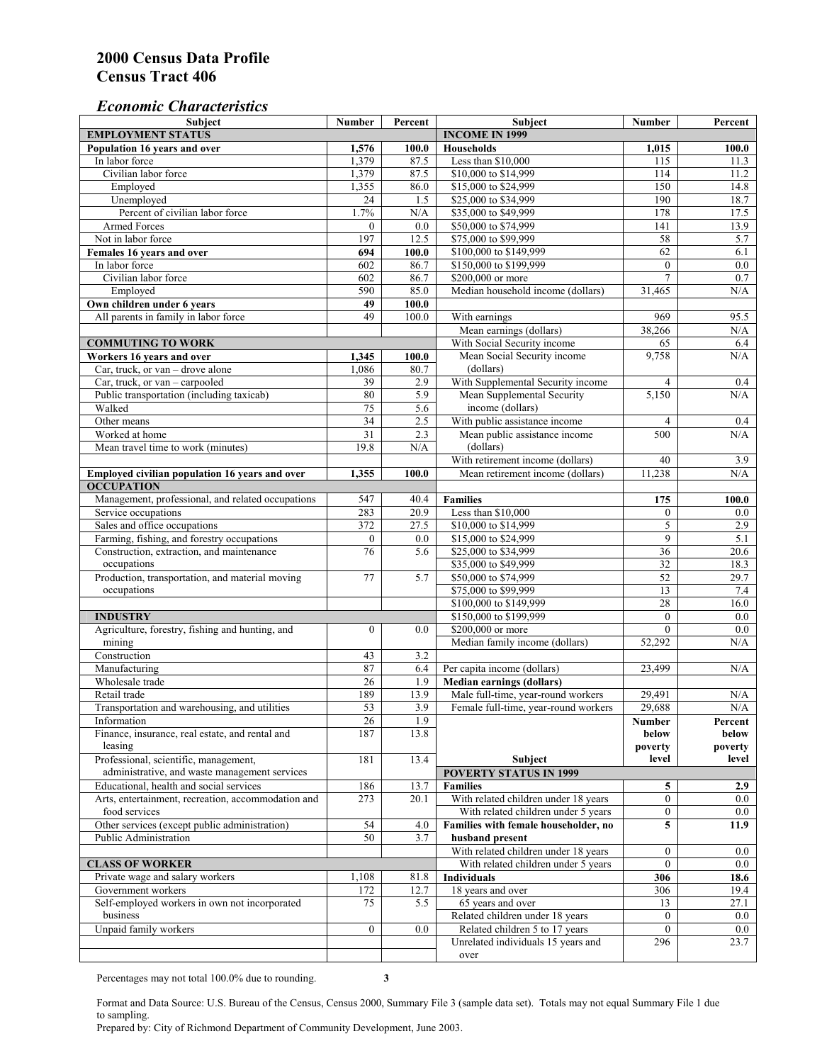#### *Economic Characteristics*

| <b>Subject</b>                                     | Number           | Percent | Subject                                        | Number                  | Percent          |
|----------------------------------------------------|------------------|---------|------------------------------------------------|-------------------------|------------------|
| <b>EMPLOYMENT STATUS</b>                           |                  |         | <b>INCOME IN 1999</b>                          |                         |                  |
| Population 16 years and over                       | 1,576            | 100.0   | Households                                     | 1,015                   | 100.0            |
| In labor force                                     | 1,379            | 87.5    | Less than \$10,000                             | 115                     | 11.3             |
| Civilian labor force                               | 1,379            | 87.5    | \$10,000 to \$14,999                           | 114                     | 11.2             |
| Employed                                           | 1,355            | 86.0    | \$15,000 to \$24,999                           | 150                     | 14.8             |
| Unemployed                                         | 24               | 1.5     | \$25,000 to \$34,999                           | 190                     | 18.7             |
| Percent of civilian labor force                    | 1.7%             | N/A     | \$35,000 to \$49,999                           | 178                     | 17.5             |
| Armed Forces                                       | $\mathbf{0}$     | 0.0     | \$50,000 to \$74,999                           | 141                     | 13.9             |
| Not in labor force                                 | 197              | 12.5    | \$75,000 to \$99,999                           | 58                      | 5.7              |
| Females 16 years and over                          | 694              | 100.0   | \$100,000 to \$149,999                         | 62                      | 6.1              |
| In labor force                                     | 602              | 86.7    | \$150,000 to \$199,999                         | $\overline{0}$          | $\overline{0.0}$ |
| Civilian labor force                               | 602              | 86.7    | \$200,000 or more                              | $\overline{7}$          | 0.7              |
| Employed                                           | 590              | 85.0    | Median household income (dollars)              | 31,465                  | N/A              |
| Own children under 6 years                         | 49               | 100.0   |                                                |                         |                  |
| All parents in family in labor force               | 49               | 100.0   | With earnings                                  | 969                     | 95.5             |
|                                                    |                  |         | Mean earnings (dollars)                        | 38,266                  | N/A              |
| <b>COMMUTING TO WORK</b>                           |                  |         | With Social Security income                    | 65                      | 6.4              |
| Workers 16 years and over                          | 1,345            | 100.0   | Mean Social Security income                    | 9,758                   | N/A              |
| Car, truck, or van – drove alone                   | 1,086            | 80.7    | (dollars)                                      |                         |                  |
| Car, truck, or van - carpooled                     | 39               | 2.9     | With Supplemental Security income              |                         |                  |
| Public transportation (including taxicab)          | 80               | 5.9     |                                                | $\overline{4}$<br>5,150 | 0.4<br>N/A       |
|                                                    |                  |         | Mean Supplemental Security<br>income (dollars) |                         |                  |
| Walked                                             | 75               | 5.6     |                                                |                         |                  |
| Other means                                        | $\overline{34}$  | 2.5     | With public assistance income                  | $\overline{4}$          | 0.4              |
| Worked at home                                     | $\overline{31}$  | 2.3     | Mean public assistance income                  | 500                     | N/A              |
| Mean travel time to work (minutes)                 | 19.8             | N/A     | (dollars)                                      |                         |                  |
|                                                    |                  |         | With retirement income (dollars)               | 40                      | 3.9              |
| Employed civilian population 16 years and over     | 1,355            | 100.0   | Mean retirement income (dollars)               | 11,238                  | N/A              |
| <b>OCCUPATION</b>                                  |                  |         |                                                |                         |                  |
| Management, professional, and related occupations  | 547              | 40.4    | <b>Families</b>                                | 175                     | 100.0            |
| Service occupations                                | 283              | 20.9    | Less than \$10,000                             | $\mathbf{0}$            | $0.0\,$          |
| Sales and office occupations                       | 372              | 27.5    | \$10,000 to \$14,999                           | $\sqrt{5}$              | 2.9              |
| Farming, fishing, and forestry occupations         | $\boldsymbol{0}$ | 0.0     | \$15,000 to \$24,999                           | 9                       | 5.1              |
| Construction, extraction, and maintenance          | 76               | 5.6     | \$25,000 to \$34,999                           | 36                      | 20.6             |
| occupations                                        |                  |         | \$35,000 to \$49,999                           | $\overline{32}$         | 18.3             |
| Production, transportation, and material moving    | 77               | 5.7     | \$50,000 to \$74,999                           | 52                      | 29.7             |
| occupations                                        |                  |         | \$75,000 to \$99,999                           | 13                      | 7.4              |
|                                                    |                  |         | \$100,000 to \$149,999                         | 28                      | 16.0             |
| <b>INDUSTRY</b>                                    |                  |         | \$150,000 to \$199,999                         | $\mathbf{0}$            | $0.0\,$          |
| Agriculture, forestry, fishing and hunting, and    | $\boldsymbol{0}$ | 0.0     | \$200,000 or more                              | $\theta$                | 0.0              |
| mining                                             |                  |         | Median family income (dollars)                 | 52,292                  | N/A              |
| Construction                                       | 43               | 3.2     |                                                |                         |                  |
| Manufacturing                                      | 87               | 6.4     | Per capita income (dollars)                    | 23,499                  | N/A              |
| Wholesale trade                                    | 26               | 1.9     | <b>Median earnings (dollars)</b>               |                         |                  |
| Retail trade                                       | 189              | 13.9    | Male full-time, year-round workers             | 29,491                  | N/A              |
| Transportation and warehousing, and utilities      | 53               | 3.9     | Female full-time, year-round workers           | 29.688                  | N/A              |
| Information                                        | 26               | 1.9     |                                                | Number                  | Percent          |
| Finance, insurance, real estate, and rental and    | 187              | 13.8    |                                                | below                   | below            |
| leasing                                            |                  |         |                                                | poverty                 | poverty          |
| Professional, scientific, management,              | 181              | 13.4    | Subject                                        | level                   | level            |
| administrative, and waste management services      |                  |         | <b>POVERTY STATUS IN 1999</b>                  |                         |                  |
| Educational, health and social services            | 186              | 13.7    | <b>Families</b>                                | 5                       | 2.9              |
| Arts, entertainment, recreation, accommodation and | 273              | 20.1    | With related children under 18 years           | $\overline{0}$          | $0.0\,$          |
| food services                                      |                  |         | With related children under 5 years            | $\mathbf{0}$            | $0.0\,$          |
| Other services (except public administration)      |                  |         |                                                |                         |                  |
|                                                    | 54               | 4.0     | Families with female householder, no           | 5                       | 11.9             |
| Public Administration                              | 50               | 3.7     | husband present                                |                         |                  |
|                                                    |                  |         | With related children under 18 years           | $\mathbf{0}$            | $0.0\,$          |
| <b>CLASS OF WORKER</b>                             |                  |         | With related children under 5 years            | $\overline{0}$          | $0.0\,$          |
| Private wage and salary workers                    | 1,108            | 81.8    | <b>Individuals</b>                             | 306                     | 18.6             |
| Government workers                                 | 172              | 12.7    | 18 years and over                              | 306                     | 19.4             |
| Self-employed workers in own not incorporated      | 75               | 5.5     | 65 years and over                              | 13                      | 27.1             |
| business                                           |                  |         | Related children under 18 years                | $\overline{0}$          | $0.0\,$          |
| Unpaid family workers                              | $\mathbf{0}$     | 0.0     | Related children 5 to 17 years                 | $\overline{0}$          | $0.0\,$          |
|                                                    |                  |         | Unrelated individuals 15 years and             | 296                     | 23.7             |
|                                                    |                  |         | over                                           |                         |                  |

Percentages may not total 100.0% due to rounding. **3** 

Format and Data Source: U.S. Bureau of the Census, Census 2000, Summary File 3 (sample data set). Totals may not equal Summary File 1 due to sampling.

Prepared by: City of Richmond Department of Community Development, June 2003.